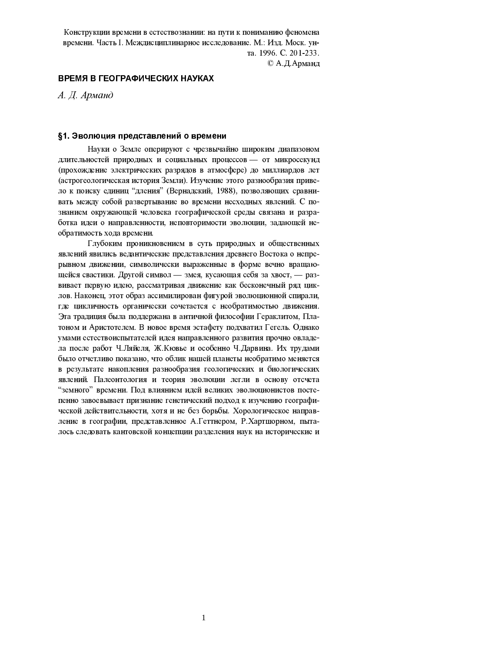Конструкции времени в естествознании: на пути к пониманию феномена времени. Часть І. Междисциплинарное исследование. М.: Изд. Моск. унта 1996. С. 201-233.

© А. Д. Арманд

## ВРЕМЯ В ГЕОГРАФИЧЕСКИХ НАУКАХ

А. Д. Арманд

#### §1. Эволюция представлений о времени

Науки о Земле оперируют с чрезвычайно широким диапазоном длительностей природных и социальных процессов - от микросекунд (прохождение электрических разрядов в атмосфере) до миллиардов лет (астрогеологическая история Земли). Изучение этого разнообразия привело к поиску единиц "дления" (Вернадский, 1988), позволяющих сравнивать между собой развертывание во времени несходных явлений. С познанием окружающей человека географической среды связана и разработка идеи о направленности, неповторимости эволюции, задающей необратимость хода времени.

Глубоким проникновением в суть природных и общественных явлений явились ведантические представления древнего Востока о непрерывном движении, символически выраженные в форме вечно вращающейся свастики. Другой символ - змея, кусающая себя за хвост, - развивает первую идею, рассматривая движение как бесконечный ряд циклов. Наконец, этот образ ассимилирован фигурой эволюционной спирали, где цикличность органически сочетается с необратимостью движения. Эта традиция была поддержана в античной философии Гераклитом, Платоном и Аристотелем. В новое время эстафету подхватил Гегель. Однако умами естествоиспытателей идея направленного развития прочно овладела после работ Ч.Ляйеля, Ж.Кювье и особенно Ч.Дарвина. Их трудами было отчетливо показано, что облик нашей планеты необратимо меняется в результате накопления разнообразия геологических и биологических явлений. Палеонтология и теория эволюции легли в основу отсчета "земного" времени. Под влиянием идей великих эволюционистов постепенно завоевывает признание генетический подход к изучению географической действительности, хотя и не без борьбы. Хорологическое направление в географии, представленное А.Геттнером, Р.Хартшорном, пыталось следовать кантовской концепции разделения наук на исторические и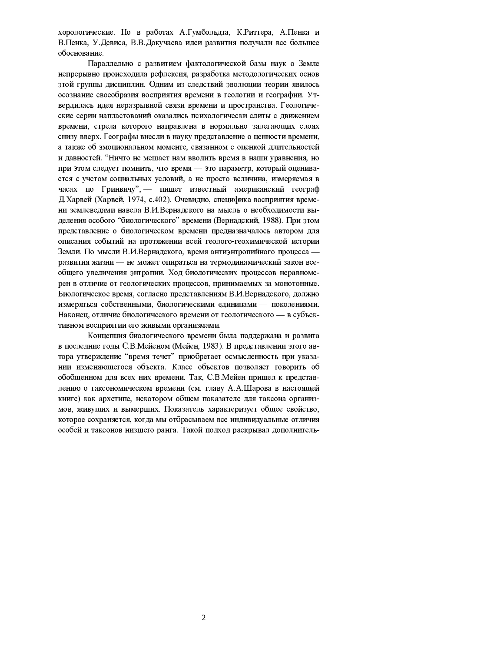хорологические. Но в работах А.Гумбольдта, К.Риттера, А.Пенка и В. Пенка, У. Девиса, В. В. Докучаева идеи развития получали все большее обоснование.

Параллельно с развитием фактологической базы наук о Земле непрерывно происходила рефлексия, разработка методологических основ этой группы дисциплин. Одним из следствий эволюции теории явилось осознание своеобразия восприятия времени в геологии и географии. Утвердилась идея неразрывной связи времени и пространства. Геологические серии напластований оказались психологически слиты с движением времени, стрела которого направлена в нормально залегающих слоях снизу вверх. Географы внесли в науку представление о ценности времени, а также об эмоциональном моменте, связанном с оценкой длительностей и давностей. "Ничто не мешает нам вводить время в наши уравнения, но при этом следует помнить, что время - это параметр, который оценивается с учетом социальных условий, а не просто величина, измеряемая в часах по Гринвичу", — пишет известный американский географ Д. Харвей (Харвей, 1974, с. 402). Очевидно, специфика восприятия времени землеведами навела В.И.Вернадского на мысль о необходимости выделения особого "биологического" времени (Вернадский, 1988). При этом представление о биологическом времени предназначалось автором для описания событий на протяжении всей геолого-геохимической истории Земли. По мысли В.И.Вернадского, время антиэнтропийного процесса развития жизни - не может опираться на термодинамический закон всеобщего увеличения энтропии. Ход биологических процессов неравномерен в отличие от геологических процессов, принимаемых за монотонные. Биологическое время, согласно представлениям В.И.Вернадского, должно измеряться собственными, биологическими единицами - поколениями. Наконец, отличие биологического времени от геологического - в субъективном восприятии его живыми организмами.

Концепция биологического времени была поддержана и развита в последние годы С.В. Мейеном (Мейен, 1983). В представлении этого автора утверждение "время течет" приобретает осмысленность при указании изменяющегося объекта. Класс объектов позволяет говорить об обобщенном для всех них времени. Так, С.В.Мейен пришел к представлению о таксономическом времени (см. главу А.А.Шарова в настоящей книге) как архетипе, некотором общем показателе для таксона организмов, живущих и вымерших. Показатель характеризует общее свойство. которое сохраняется, когда мы отбрасываем все индивидуальные отличия особей и таксонов низшего ранга. Такой подход раскрывал дополнитель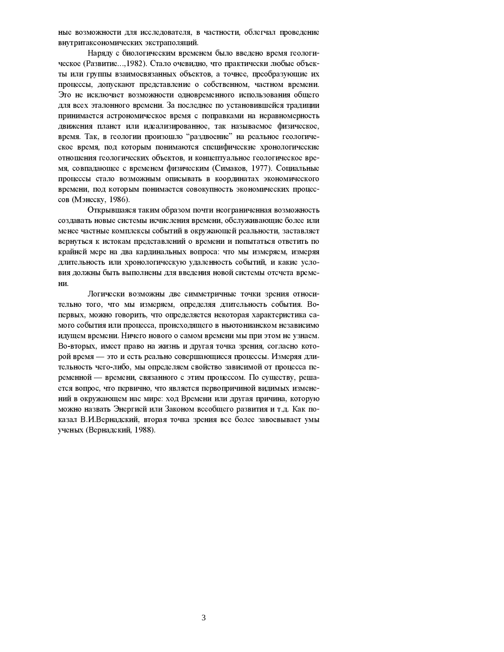ные возможности для исследователя, в частности, облегчал проведение внутритаксономических экстраполяций.

Наряду с биологическим временем было введено время геологическое (Развитие..., 1982). Стало очевидно, что практически любые объекты или группы взаимосвязанных объектов, а точнее, преобразующие их процессы, допускают представление о собственном, частном времени. Это не исключает возможности одновременного использования общего для всех эталонного времени. За последнее по установившейся традиции принимается астрономическое время с поправками на неравномерность движения планет или идеализированное, так называемое физическое, время. Так, в геологии произошло "раздвоение" на реальное геологическое время, под которым понимаются специфические хронологические отношения геологических объектов, и концептуальное геологическое время, совпадающее с временем физическим (Симаков, 1977). Социальные процессы стало возможным описывать в координатах экономического времени, под которым понимается совокупность экономических процессов (Мэнеску, 1986).

Открывшаяся таким образом почти неограниченная возможность создавать новые системы исчисления времени, обслуживающие более или менее частные комплексы событий в окружающей реальности, заставляет вернуться к истокам представлений о времени и попытаться ответить по крайней мере на два кардинальных вопроса: что мы измеряем, измеряя длительность или хронологическую удаленность событий, и какие условия должны быть выполнены для введения новой системы отсчета времени.

Логически возможны две симметричные точки зрения относительно того, что мы измеряем, определяя длительность события. Вопервых, можно говорить, что определяется некоторая характеристика самого события или процесса, происходящего в ньютонианском независимо идущем времени. Ничего нового о самом времени мы при этом не узнаем. Во-вторых, имеет право на жизнь и другая точка зрения, согласно которой время - это и есть реально совершающиеся процессы. Измеряя длительность чего-либо, мы определяем свойство зависимой от процесса переменной — времени, связанного с этим процессом. По существу, решается вопрос, что первично, что является первопричиной видимых изменений в окружающем нас мире: ход Времени или другая причина, которую можно назвать Энергией или Законом всеобщего развития и т.д. Как показал В.И.Вернадский, вторая точка зрения все более завоевывает умы ученых (Вернадский, 1988).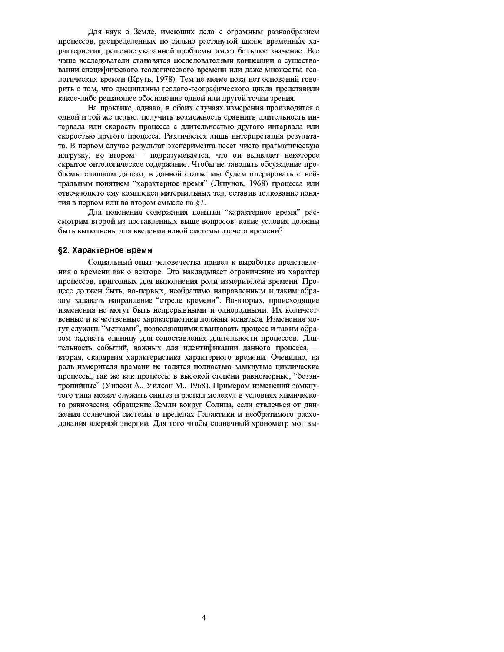Для наук о Земле, имеющих дело с огромным разнообразием процессов, распределенных по сильно растянутой шкале временных характеристик, решение указанной проблемы имеет большое значение. Все чаще исследователи становятся последователями концепции о существовании специфического геологического времени или даже множества геологических времен (Круть, 1978). Тем не менее пока нет оснований говорить о том, что дисциплины геолого-географического цикла представили какое-либо решающее обоснование одной или другой точки зрения.

На практике, однако, в обоих случаях измерения производятся с одной и той же целью: получить возможность сравнить длительность интервала или скорость процесса с длительностью другого интервала или скоростью другого процесса. Различается лишь интерпретация результата. В первом случае результат эксперимента несет чисто прагматическую нагрузку, во втором — подразумевается, что он выявляет некоторое скрытое онтологическое содержание. Чтобы не заводить обсуждение проблемы слишком далеко, в данной статье мы будем оперировать с нейтральным понятием "характерное время" (Ляпунов, 1968) процесса или отвечающего ему комплекса материальных тел, оставив толкование понятия в первом или во втором смысле на §7.

Для пояснения содержания понятия "характерное время" рассмотрим второй из поставленных выше вопросов: какие условия должны быть выполнены для введения новой системы отсчета времени?

## §2. Характерное время

Социальный опыт человечества привел к выработке представления о времени как о векторе. Это накладывает ограничение на характер процессов, пригодных для выполнения роли измерителей времени. Процесс должен быть, во-первых, необратимо направленным и таким образом задавать направление "стреле времени". Во-вторых, происходящие изменения не могут быть непрерывными и однородными. Их количественные и качественные характеристики должны меняться. Изменения могут служить "метками", позволяющими квантовать процесс и таким образом задавать единицу для сопоставления длительности процессов. Длительность событий, важных для идентификации данного процесса, вторая, скалярная характеристика характерного времени. Очевидно, на роль измерителя времени не годятся полностью замкнутые циклические процессы, так же как процессы в высокой степени равномерные, "безэнтропийные" (Уилсон А., Уилсон М., 1968). Примером изменений замкнутого типа может служить синтез и распад молекул в условиях химического равновесия, обращение Земли вокруг Солнца, если отвлечься от движения солнечной системы в пределах Галактики и необратимого расходования ядерной энергии. Для того чтобы солнечный хронометр мог вы-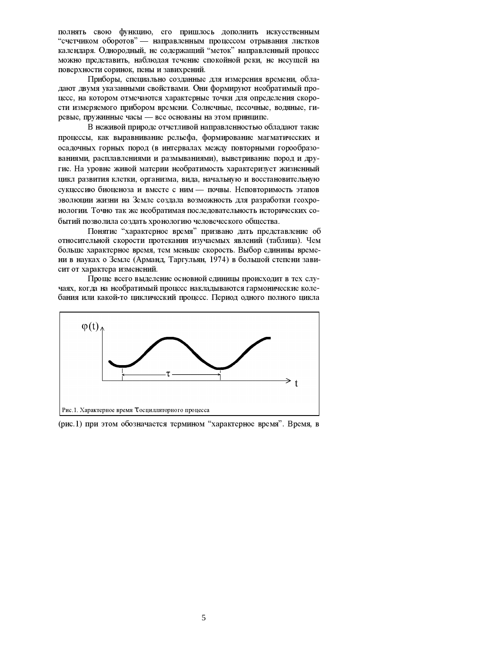полнять свою функцию, его пришлось дополнить искусственным "счетчиком оборотов" — направленным процессом отрывания листков календаря. Однородный, не содержащий "меток" направленный процесс можно представить, наблюдая течение спокойной реки, не несущей на поверхности соринок, пены и завихрений.

Приборы, специально созданные для измерения времени, обладают двумя указанными свойствами. Они формируют необратимый процесс, на котором отмечаются характерные точки для определения скорости измеряемого прибором времени. Солнечные, песочные, водяные, гиревые, пружинные часы - все основаны на этом принципе.

В неживой природе отчетливой направленностью обладают такие процессы, как выравнивание рельефа, формирование магматических и осадочных горных пород (в интервалах между повторными горообразованиями, расплавлениями и размываниями), выветривание пород и другие. На уровне живой материи необратимость характеризует жизненный цикл развития клетки, организма, вида, начальную и восстановительную сукцессию биоценоза и вместе с ним - почвы. Неповторимость этапов эволюции жизни на Земле создала возможность для разработки геохронологии. Точно так же необратимая последовательность исторических событий позволила создать хронологию человеческого общества.

Понятие "характерное время" призвано дать представление об относительной скорости протекания изучаемых явлений (таблица). Чем больше характерное время, тем меньше скорость. Выбор единицы времени в науках о Земле (Арманд, Таргульян, 1974) в большой степени зависит от характера изменений.

Проще всего выделение основной единицы происходит в тех случаях, когда на необратимый процесс накладываются гармонические колебания или какой-то циклический процесс. Период одного полного цикла



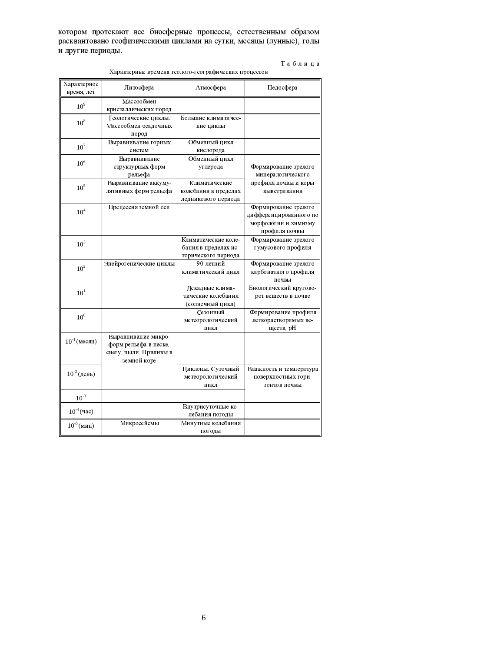котором протекают все биосферные процессы, естественным образом расквантовано геофизическими циклами на сутки, месяцы (лунные), годы и другие периоды.

 $T$ аблица

| Характерное       | Литосфера                                                                             | Атмосфера                                                          | Педосфера                                                                               |
|-------------------|---------------------------------------------------------------------------------------|--------------------------------------------------------------------|-----------------------------------------------------------------------------------------|
| время, лет        |                                                                                       |                                                                    |                                                                                         |
| 10 <sup>9</sup>   | Массообмен<br>кристаллических пород                                                   |                                                                    |                                                                                         |
| 10 <sup>8</sup>   | Геологические циклы.<br>Массообмен осадочных<br>пород                                 | Большие климатичес-<br>кие циклы                                   |                                                                                         |
| 10 <sup>7</sup>   | Выравнивание горных<br>систем                                                         | Обменный цикл<br>кислорода                                         |                                                                                         |
| 10 <sup>6</sup>   | Выравнивание<br>структурных форм<br>рельефа                                           | Обменный цикл<br>углерода                                          | Формирование зрелого<br>минералогического                                               |
| 10 <sup>5</sup>   | Выравнивание аккуму-<br>лятивных форм рельефа                                         | Климатические<br>колебания в пределах<br>ледникового периода       | профиля почвы и коры<br>выветривания                                                    |
| $10^4$            | Прецессия земной оси                                                                  |                                                                    | Формирование зрелого<br>дифференцированного по<br>морфологии и химизму<br>профиля почвы |
| 10 <sup>3</sup>   |                                                                                       | Климатические коле-<br>бания в пределах ис-<br>торического периода | Формирование зрелого<br>гумусового профиля                                              |
| 10 <sup>2</sup>   | Эпейрогенические циклы                                                                | 90 летний<br>климатический цикл                                    | Формирование зрелого<br>карбонатного профиля<br>почвы                                   |
| 10 <sup>1</sup>   |                                                                                       | Декадные клима-<br>тические колебания<br>(солнечный цикл)          | Биологический кругово-<br>рот веществ в почве                                           |
| 10 <sup>0</sup>   |                                                                                       | Сезонный<br>метеорологический<br>цикл                              | Формирование профиля<br>легкорастворимых ве-<br>ществ, рН                               |
| $10^{-1}$ (месяц) | Выравнивание микро-<br>форм рельефа в песке,<br>снегу, пыли. Приливы в<br>земной коре |                                                                    |                                                                                         |
| $10^{-2} (день)$  |                                                                                       | Циклоны. Суточный<br>метеорологический<br>цикл                     | Влажность и температура<br>поверхностных гори-<br>зонтов почвы                          |
| $10^{-3}$         |                                                                                       |                                                                    |                                                                                         |
| $10^{4}$ (час)    |                                                                                       | Внутрисуточные ко-<br>лебания погоды                               |                                                                                         |
| $10^{-5}$ (мин)   | Микросейсмы                                                                           | Минутные колебания<br>погоды                                       |                                                                                         |

Характерные времена геолого-географических процессов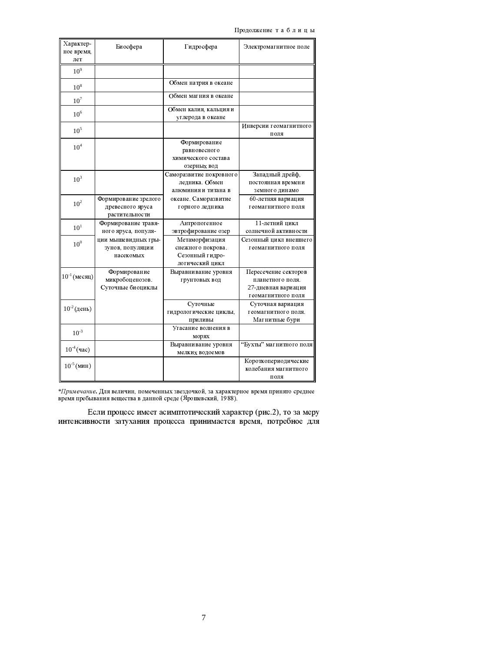Продолжение таблицы

| Характер-<br>ное время,<br>лет | Биосфера                                                   | Гидросфера                                                                | Электромагнитное поле                                                                 |
|--------------------------------|------------------------------------------------------------|---------------------------------------------------------------------------|---------------------------------------------------------------------------------------|
| 10 <sup>9</sup>                |                                                            |                                                                           |                                                                                       |
|                                |                                                            |                                                                           |                                                                                       |
| 10 <sup>8</sup>                |                                                            | Обмен натрия в океане                                                     |                                                                                       |
| $10^7$                         |                                                            | Обмен магния в океане                                                     |                                                                                       |
| 10 <sup>6</sup>                |                                                            | Обмен калия, кальция и<br>углерода в океане                               |                                                                                       |
| 10 <sup>5</sup>                |                                                            |                                                                           | Инверсии геомагнитного<br>поля                                                        |
| 10 <sup>4</sup>                |                                                            | Формирование<br>равновесного<br>химического состава<br>озерных вод        |                                                                                       |
| 10 <sup>3</sup>                |                                                            | Саморазвитие покровного<br>ледника. Обмен<br>алюминия и титана в          | Западный дрейф,<br>постоянная времени<br>земного динамо                               |
| 10 <sup>2</sup>                | Формирование зрелого<br>древесного яруса<br>растительности | океане. Саморазвитие<br>горного ледника                                   | 60-летняя вариация<br>геомагнитного поля                                              |
| 10 <sup>1</sup>                | Формирование травя-<br>ного яруса, популя-                 | Антропогенное<br>эвтрофирование озер                                      | 11 летний цикл<br>солнечной активности                                                |
| $10^{0}$                       | ции мышевидных гры-<br>зунов, популяции<br>насекомых       | Метаморфизация<br>снежного покрова.<br>Сезонный гидро-<br>логический цикл | Сезонный цикл внешнего<br>геомагнитного поля                                          |
| $10^{-1}$ (месяц)              | Формирование<br>микробоценозов.<br>Суточные биоциклы       | Выравнивание уровня<br>грунтовых вод                                      | Пересечение секторов<br>планетного поля.<br>27-дневная вариация<br>геомагнитного поля |
| $10^{-2}$ (день)               |                                                            | Суточные<br>гидрологические циклы,<br>приливы                             | Суточная вариация<br>геомагнитного поля.<br>Магнитные бури                            |
| $10^{-3}$                      |                                                            | Угасание волнения в<br>морях                                              |                                                                                       |
| $10^{-4}$ (час)                |                                                            | Выравнивание уровня<br>мелких водоемов                                    | "Бухты" магнитного поля                                                               |
| $10^{-5}$ (мин)                |                                                            |                                                                           | Короткопериодические<br>колебания магнитного<br>поля                                  |

 $\ast$ Примечание. Для величин, помеченных звездочкой, за характерное время принято среднее время пребывания вещества в данной среде (Ярошевский, 1988).

Если процесс имеет асимптотический характер (рис.2), то за меру интенсивности затухания процесса принимается время, потребное для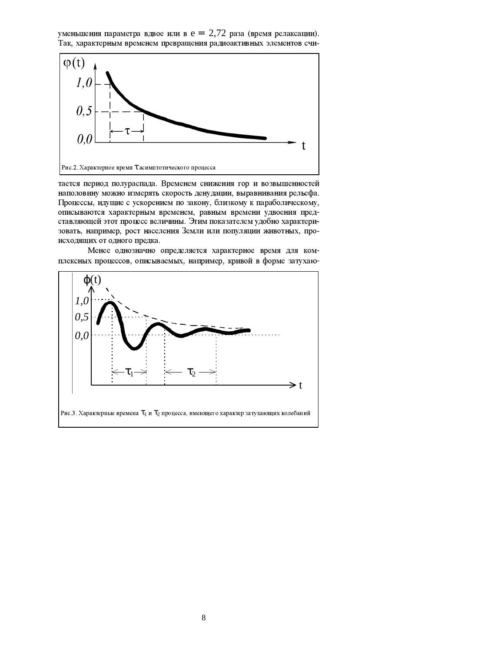уменьшения параметра вдвое или в е =  $\epsilon$ 2,72 раза (время релаксации). Так, характерным временем превращения радиоактивных элементов счи-



тается период полураспада. Временем снижения гор и возвышенностей наполовину можно измерять скорость денудации, выравнивания рельефа. Процессы, идущие с ускорением по закону, близкому к параболическому, описываются характерным временем, равным времени удвоения представляющей этот процесс величины. Этим показателем удобно характеризовать, например, рост населения Земли или популяции животных, происходящих от одного предка.

Менее однозначно определяется характерное время для комплексных процессов, описываемых, например, кривой в форме затухаю-

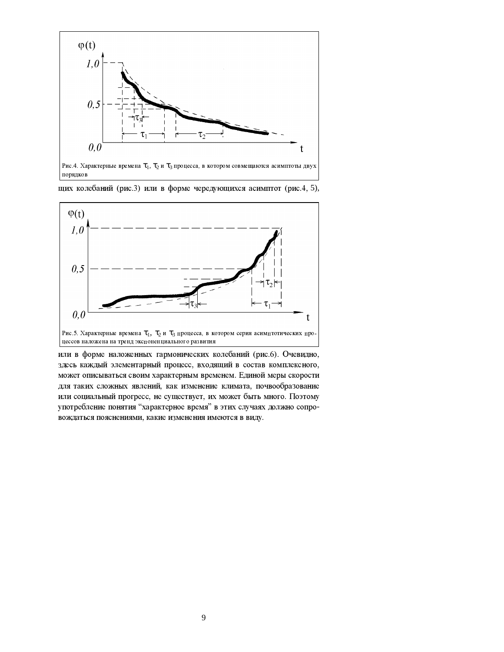

Рис. 4. Характерные времена  $\tau_1$ ,  $\tau_2$  и  $\tau_3$  процесса, в котором совмещаются асимптоты двух порядков





или в форме наложенных гармонических колебаний (рис.6). Очевидно, здесь каждый элементарный процесс, входящий в состав комплексного, может описываться своим характерным временем. Единой меры скорости для таких сложных явлений, как изменение климата, почвообразование или социальный прогресс, не существует, их может быть много. Поэтому употребление понятия "характерное время" в этих случаях должно сопровождаться пояснениями, какие изменения имеются в виду.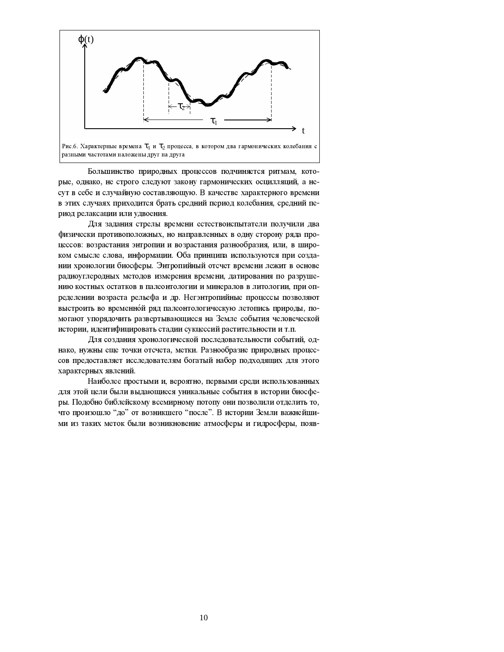

Большинство природных процессов подчиняется ритмам, которые, однако, не строго следуют закону гармонических осцилляций, а несут в себе и случайную составляющую. В качестве характерного времени в этих случаях приходится брать средний период колебания, средний период релаксации или удвоения.

Для задания стрелы времени естествоиспытатели получили два физически противоположных, но направленных в одну сторону ряда процессов: возрастания энтропии и возрастания разнообразия, или, в широком смысле слова, информации. Оба принципа используются при создании хронологии биосферы. Энтропийный отсчет времени лежит в основе радиоуглеродных методов измерения времени, датирования по разрушению костных остатков в палеонтологии и минералов в литологии, при определении возраста рельефа и др. Негэнтропийные процессы позволяют выстроить во временной ряд палеонтологическую летопись природы, помогают упорядочить развертывающиеся на Земле события человеческой истории, идентифицировать стадии сукцессий растительности и т.п.

Для создания хронологической последовательности событий, однако, нужны еще точки отсчета, метки. Разнообразие природных процессов предоставляет исследователям богатый набор подходящих для этого характерных явлений.

Наиболее простыми и, вероятно, первыми среди использованных для этой цели были выдающиеся уникальные события в истории биосферы. Подобно библейскому всемирному потопу они позволили отделить то, что произошло "до" от возникшего "после". В истории Земли важнейшими из таких меток были возникновение атмосферы и гидросферы, появ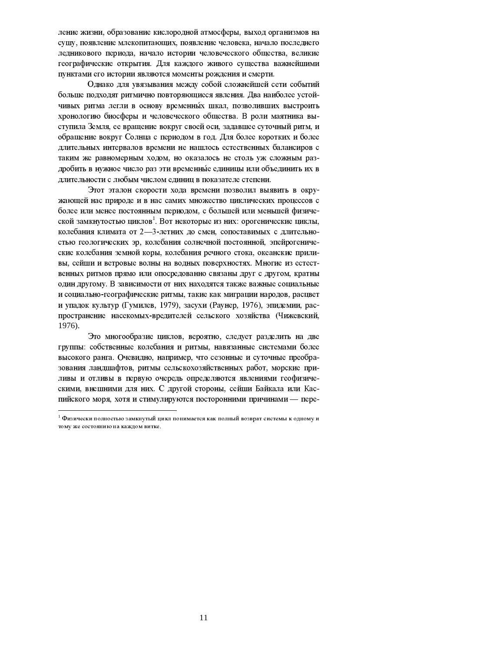ление жизни, образование кислородной атмосферы, выход организмов на сушу, появление млекопитающих, появление человека, начало последнего ледникового периода, начало истории человеческого общества, великие географические открытия. Для каждого живого существа важнейшими пунктами его истории являются моменты рождения и смерти.

Однако для увязывания между собой сложнейшей сети событий больше подходят ритмично повторяющиеся явления. Два наиболее устойчивых ритма легли в основу временных шкал, позволивших выстроить хронологию биосферы и человеческого общества. В роли маятника выступила Земля, ее вращение вокруг своей оси, задавшее суточный ритм, и обращение вокруг Солнца с периодом в год. Для более коротких и более длительных интервалов времени не нашлось естественных балансиров с таким же равномерным ходом, но оказалось не столь уж сложным раздробить в нужное число раз эти временные единицы или объединить их в длительности с любым числом единиц в показателе степени.

Этот эталон скорости хода времени позволил выявить в окружающей нас природе и в нас самих множество циклических процессов с более или менее постоянным периодом, с большей или меньшей физической замкнутостью циклов<sup>1</sup>. Вот некоторые из них: орогенические циклы, колебания климата от 2-3-летних до смен, сопоставимых с длительностью геологических эр, колебания солнечной постоянной, эпейрогенические колебания земной коры, колебания речного стока, океанские приливы, сейши и ветровые волны на водных поверхностях. Многие из естественных ритмов прямо или опосредованно связаны друг с другом, кратны один другому. В зависимости от них находятся также важные социальные и социально-географические ритмы, такие как миграции народов, расцвет и упадок культур (Гумидев, 1979), засухи (Раунер, 1976), эпидемии, распространение насекомых-вредителей сельского хозяйства (Чижевский, 1976).

Это многообразие циклов, вероятно, следует разделить на две группы: собственные колебания и ритмы, навязанные системами более высокого ранга. Очевидно, например, что сезонные и суточные преобразования ландшафтов, ритмы сельскохозяйственных работ, морские приливы и отливы в первую очередь определяются явлениями геофизическими, внешними для них. С другой стороны, сейши Байкала или Каспийского моря, хотя и стимулируются посторонними причинами - пере-

 $^1$  Физически полностью замкнутый цикл понимается как полный возврат системы к одному и тому же состоянию на каждом витке.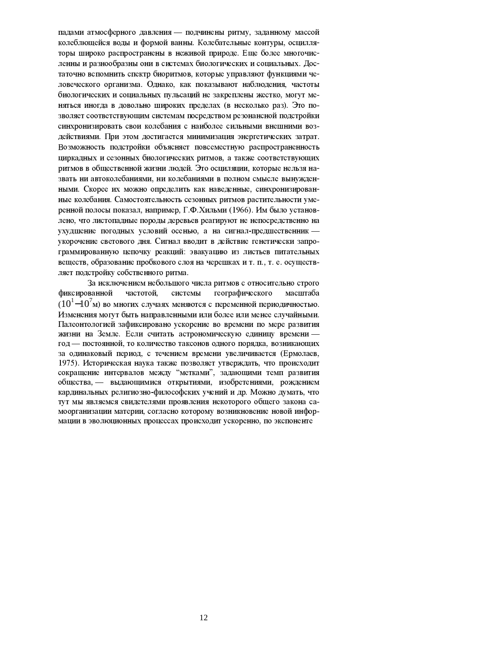падами атмосферного давления - подчинены ритму, заданному массой колеблющейся воды и формой ванны. Колебательные контуры, осцилляторы широко распространены в неживой природе. Еще более многочисленны и разнообразны они в системах биологических и социальных. Достаточно вспомнить спектр биоритмов, которые управляют функциями человеческого организма. Однако, как показывают наблюдения, частоты биологических и социальных пульсаций не закреплены жестко, могут меняться иногда в довольно широких пределах (в несколько раз). Это позволяет соответствующим системам посредством резонансной подстройки синхронизировать свои колебания с наиболее сильными внешними воздействиями. При этом достигается минимизация энергетических затрат. Возможность подстройки объясняет повсеместную распространенность циркадных и сезонных биологических ритмов, а также соответствующих ритмов в общественной жизни людей. Это осциляции, которые нельзя назвать ни автоколебаниями, ни колебаниями в полном смысле вынужденными. Скорее их можно определить как наведенные, синхронизированные колебания. Самостоятельность сезонных ритмов растительности умеренной полосы показал, например, Г.Ф.Хильми (1966). Им было установлено, что листопадные породы деревьев реагируют не непосредственно на ухудшение погодных условий осенью, а на сигнал-предшественник укорочение светового дня. Сигнал вводит в действие генетически запрограммированную цепочку реакций: эвакуацию из листьев питательных веществ, образование пробкового слоя на черешках и т. п., т. е. осуществляет подстройку собственного ритма.

За исключением небольшого числа ритмов с относительно строго фиксированной частотой. системы географического масштаба  $(10^{1}-10^{7}$ м) во многих случаях меняются с переменной периодичностью. Изменения могут быть направленными или более или менее случайными. Палеонтологией зафиксировано ускорение во времени по мере развития жизни на Земле. Если считать астрономическую единицу времени год - постоянной, то количество таксонов одного порядка, возникающих за одинаковый период, с течением времени увеличивается (Ермолаев, 1975). Историческая наука также позволяет утверждать, что происходит сокращение интервалов между "метками", задающими темп развития общества. - выдающимися открытиями, изобретениями, рождением кардинальных религиозно-философских учений и др. Можно думать, что тут мы являемся свидетелями проявления некоторого общего закона самоорганизации материи, согласно которому возникновение новой информации в эволюционных процессах происходит ускоренно, по экспоненте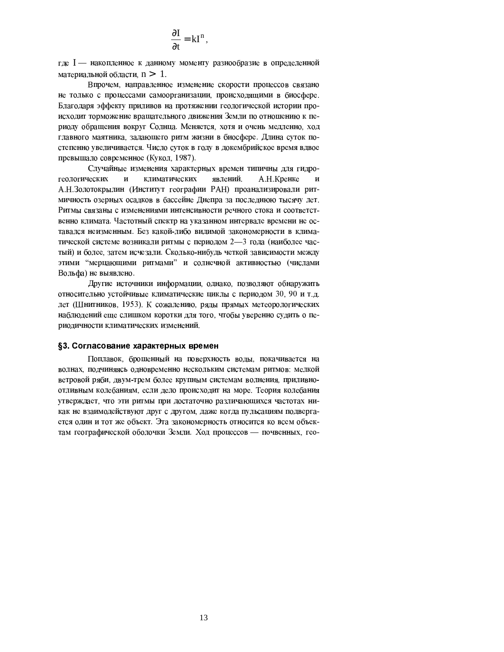$$
\frac{\partial I}{\partial t} = kI^n,
$$

где I — накопленное к данному моменту разнообразие в определенной материальной области,  $n > \in I$ .

Впрочем, направленное изменение скорости процессов связано не только с процессами самоорганизации, происходящими в биосфере. Благодаря эффекту приливов на протяжении геологической истории происходит торможение вращательного движения Земли по отношению к периоду обращения вокруг Солнца. Меняется, хотя и очень медленно, ход главного маятника, задающего ритм жизни в биосфере. Длина суток постепенно увеличивается. Число суток в году в докембрийское время вдвое превышало современное (Кукол, 1987).

Случайные изменения характерных времен типичны для гидрогеологических явлений.  $\overline{\mathbf{M}}$ климатических А.Н. Кренке  $\overline{M}$ А.Н.Золотокрылин (Институт географии РАН) проанализировали ритмичность озерных осадков в бассейне Днепра за последнюю тысячу лет. Ритмы связаны с изменениями интенсивности речного стока и соответственно климата. Частотный спектр на указанном интервале времени не оставался неизменным. Без какой-либо видимой закономерности в климатической системе возникали ритмы с периодом 2-3 года (наиболее частый) и более, затем исчезали. Сколько-нибудь четкой зависимости между этими "мерцающими ритмами" и солнечной активностью (числами Вольфа) не выявлено.

Другие источники информации, однако, позволяют обнаружить относительно устойчивые климатические циклы с периодом 30, 90 и т.д. лет (Шнитников, 1953). К сожалению, ряды прямых метеорологических наблюдений еще слишком коротки для того, чтобы уверенно судить о периодичности климатических изменений.

#### §3. Согласование характерных времен

Поплавок, брошенный на поверхность воды, покачивается на волнах, подчиняясь одновременно нескольким системам ритмов: мелкой ветровой ряби, двум-трем более крупным системам волнения, приливноотливным колебаниям, если дело происходит на море. Теория колебания утверждает, что эти ритмы при достаточно различающихся частотах никак не взаимодействуют друг с другом, даже когда пульсациям подвергается один и тот же объект. Эта закономерность относится ко всем объектам географической оболочки Земли. Ход процессов — почвенных, гео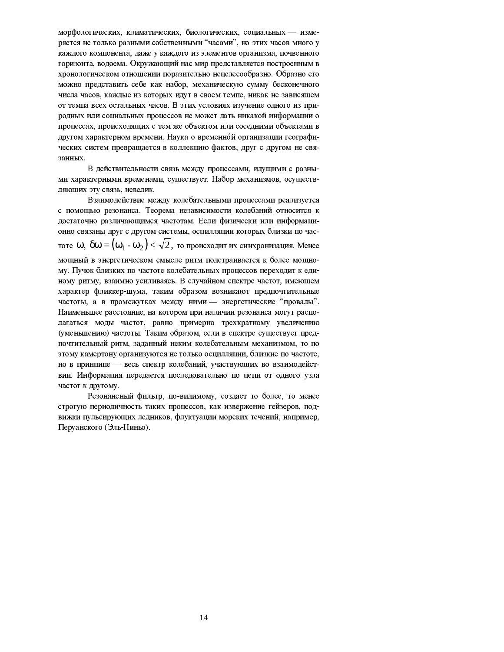морфологических, климатических, биологических, социальных - измеряется не только разными собственными "часами", но этих часов много у каждого компонента, даже у каждого из элементов организма, почвенного горизонта, водоема. Окружающий нас мир представляется построенным в хронологическом отношении поразительно нецелесообразно. Образно его можно представить себе как набор, механическую сумму бесконечного числа часов, каждые из которых идут в своем темпе, никак не зависящем от темпа всех остальных часов. В этих условиях изучение одного из природных или социальных процессов не может дать никакой информации о процессах, происходящих с тем же объектом или соседними объектами в другом характерном времени. Наука о временной организации географических систем превращается в коллекцию фактов, друг с другом не связанных.

В действительности связь между процессами, идущими с разными характерными временами, существует. Набор механизмов, осуществляющих эту связь, невелик.

Взаимодействие между колебательными процессами реализуется с помощью резонанса. Теорема независимости колебаний относится к достаточно различающимся частотам. Если физически или информационно связаны друг с другом системы, осцилляции которых близки по частоте  $\omega$ ,  $\delta\omega = (\omega_1 - \omega_2)$  <  $\sqrt{2}$ , то происходит их синхронизация. Менее мощный в энергетическом смысле ритм подстраивается к более мощному. Пучок близких по частоте колебательных процессов переходит к единому ритму, взаимно усиливаясь. В случайном спектре частот, имеющем характер фликкер-шума, таким образом возникают предпочтительные частоты, а в промежутках между ними — энергетические "провалы". Наименьшее расстояние, на котором при наличии резонанса могут располагаться моды частот, равно примерно трехкратному увеличению (уменьшению) частоты. Таким образом, если в спектре существует предпочтительный ритм, заданный неким колебательным механизмом, то по этому камертону организуются не только осцилляции, близкие по частоте, но в принципе — весь спектр колебаний, участвующих во взаимодействии. Информация передается последовательно по цепи от одного узла частот к другому.

Резонансный фильтр, по-видимому, создает то более, то менее строгую периодичность таких процессов, как извержение гейзеров, подвижки пульсирующих ледников, флуктуации морских течений, например, Перуанского (Эль-Ниньо).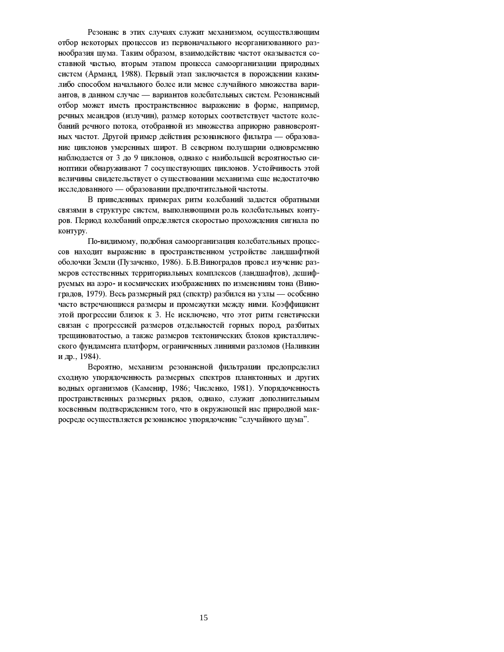Резонанс в этих случаях служит механизмом, осуществляющим отбор некоторых процессов из первоначального неорганизованного разнообразия шума. Таким образом, взаимодействие частот оказывается составной частью, вторым этапом процесса самоорганизации природных систем (Арманд, 1988). Первый этап заключается в порождении какимлибо способом начального более или менее случайного множества вариантов, в данном случае - вариантов колебательных систем. Резонансный отбор может иметь пространственное выражение в форме, например, речных меандров (излучин), размер которых соответствует частоте колебаний речного потока, отобранной из множества априорно равновероятных частот. Другой пример действия резонансного фильтра — образование циклонов умеренных широт. В северном полушарии одновременно наблюдается от 3 до 9 циклонов, однако с наибольшей вероятностью синоптики обнаруживают 7 сосуществующих циклонов. Устойчивость этой величины свидетельствует о существовании механизма еще недостаточно исследованного - образовании предпочтительной частоты.

В приведенных примерах ритм колебаний задается обратными связями в структуре систем, выполняющими роль колебательных контуров. Период колебаний определяется скоростью прохождения сигнала по контуру.

По-видимому, подобная самоорганизация колебательных процессов находит выражение в пространственном устройстве ландшафтной оболочки Земли (Пузаченко, 1986). Б.В.Виноградов провел изучение размеров естественных территориальных комплексов (ландшафтов), дешифруемых на аэро- и космических изображениях по изменениям тона (Виноградов, 1979). Весь размерный ряд (спектр) разбился на узлы — особенно часто встречающиеся размеры и промежутки между ними. Коэффициент этой прогрессии близок к 3. Не исключено, что этот ритм генетически связан с прогрессией размеров отдельностей горных пород, разбитых трещиноватостью, а также размеров тектонических блоков кристаллического фундамента платформ, ограниченных линиями разломов (Наливкин и др., 1984).

Вероятно, механизм резонансной фильтрации предопределил сходную упорядоченность размерных спектров планктонных и других водных организмов (Каменир, 1986; Численко, 1981). Упорядоченность пространственных размерных рядов, однако, служит дополнительным косвенным подтверждением того, что в окружающей нас природной макросреде осуществляется резонансное упорядочение "случайного шума".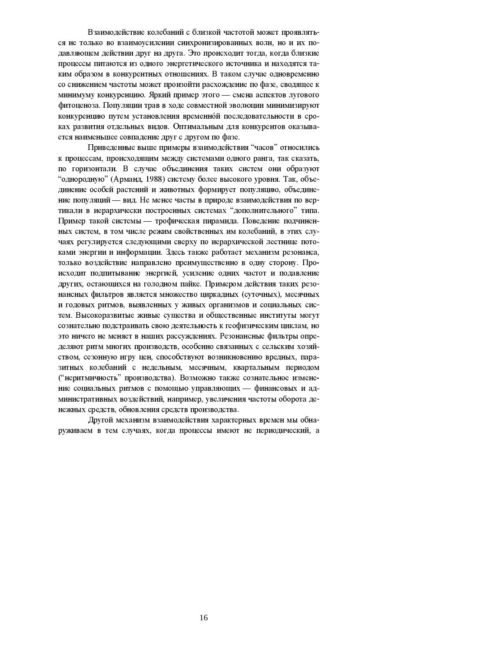Взаимодействие колебаний с близкой частотой может проявляться не только во взаимоусилении синхронизированных волн, но и их подавляющем действии друг на друга. Это происходит тогда, когда близкие процессы питаются из одного энергетического источника и находятся таким образом в конкурентных отношениях. В таком случае одновременно со снижением частоты может произойти расхождение по фазе, сводящее к минимуму конкуренцию. Яркий пример этого — смена аспектов лугового фитоценоза. Популяции трав в ходе совместной эволюции минимизируют конкуренцию путем установления временной последовательности в сроках развития отдельных видов. Оптимальным для конкурентов оказывается наименьшее совпадение друг с другом по фазе.

Приведенные выше примеры взаимодействия "часов" относились к процессам, происходящим между системами одного ранга, так сказать, по горизонтали. В случае объединения таких систем они образуют "однородную" (Арманд, 1988) систему более высокого уровня. Так, объединение особей растений и животных формирует популяцию, объединение популяций — вид. Не менее часты в природе взаимодействия по вертикали в иерархически построенных системах "дополнительного" типа. Пример такой системы — трофическая пирамида. Поведение подчиненных систем, в том числе режим свойственных им колебаний, в этих случаях регулируется следующими сверху по иерархической лестнице потоками энергии и информации. Здесь также работает механизм резонанса, только воздействие направлено преимущественно в одну сторону. Происходит подпитывание энергией, усиление одних частот и подавление других, остающихся на голодном пайке. Примером действия таких резонансных фильтров является множество циркадных (суточных), месячных и годовых ритмов, выявленных у живых организмов и социальных систем. Высокоразвитые живые существа и общественные институты могут сознательно подстраивать свою деятельность к геофизическим циклам, но это ничего не меняет в наших рассуждениях. Резонансные фильтры определяют ритм многих производств, особенно связанных с сельским хозяйством, сезонную игру цен, способствуют возникновению вредных, паразитных колебаний с недельным, месячным, квартальным периодом ("неритмичность" производства). Возможно также сознательное изменение социальных ритмов с помощью управляющих - финансовых и административных воздействий, например, увеличения частоты оборота денежных средств, обновления средств производства.

Другой механизм взаимодействия характерных времен мы обнаруживаем в тем случаях, когда процессы имеют не периодический, а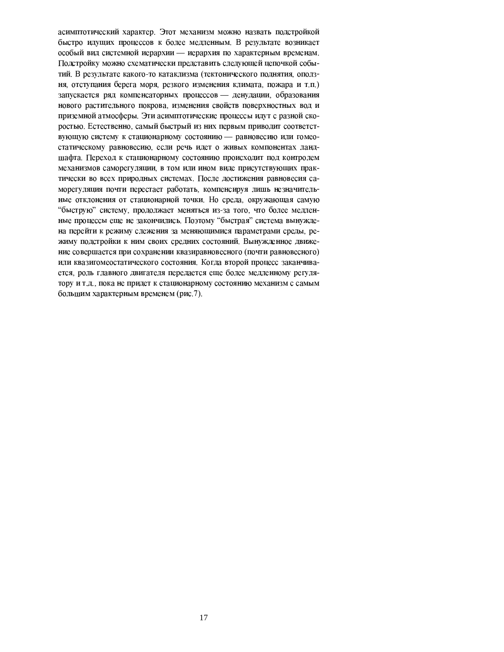асимптотический характер. Этот механизм можно назвать подстройкой быстро идущих процессов к более медленным. В результате возникает особый вид системной иерархии - иерархия по характерным временам. Подстройку можно схематически представить следующей цепочкой событий. В результате какого-то катаклизма (тектонического поднятия, оползня, отступания берега моря, резкого изменения климата, пожара и т.п.) запускается ряд компенсаторных процессов - денудации, образования нового растительного покрова, изменения свойств поверхностных вод и приземной атмосферы. Эти асимптотические процессы идут с разной скоростью. Естественно, самый быстрый из них первым приводит соответствующую систему к стационарному состоянию - равновесию или гомеостатическому равновесию, если речь идет о живых компонентах ландшафта. Переход к стационарному состоянию происходит под контролем механизмов саморегуляции, в том или ином виде присутствующих практически во всех природных системах. После достижения равновесия саморегуляция почти перестает работать, компенсируя лишь незначительные отклонения от стационарной точки. Но среда, окружающая самую "быструю" систему, продолжает меняться из-за того, что более медленные процессы еще не закончились. Поэтому "быстрая" система вынуждена перейти к режиму слежения за меняющимися параметрами среды, режиму подстройки к ним своих средних состояний. Вынужденное движение совершается при сохранении квазиравновесного (почти равновесного) или квазигомеостатического состояния. Когда второй процесс заканчивается, роль главного двигателя передается еще более медленному регулятору и т.д., пока не придет к стационарному состоянию механизм с самым большим характерным временем (рис. 7).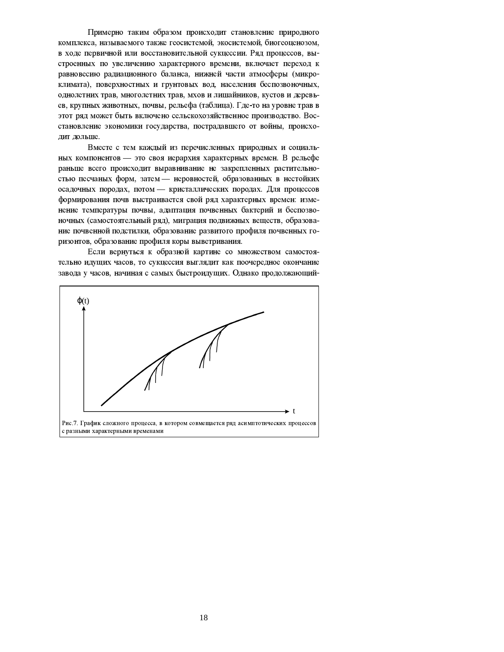Примерно таким образом происходит становление природного комплекса, называемого также геосистемой, экосистемой, биогеоценозом, в ходе первичной или восстановительной сукцессии. Ряд процессов, выстроенных по увеличению характерного времени, включает переход к равновесию радиационного баланса, нижней части атмосферы (микроклимата), поверхностных и грунтовых вод, населения беспозвоночных, однолетних трав, многолетних трав, мхов и лишайников, кустов и деревьев, крупных животных, почвы, рельефа (таблица). Где-то на уровне трав в этот ряд может быть включено сельскохозяйственное производство. Восстановление экономики государства, пострадавшего от войны, происходит дольше.

Вместе с тем каждый из перечисленных природных и социальных компонентов - это своя иерархия характерных времен. В рельефе раньше всего происходит выравнивание не закрепленных растительностью песчаных форм, затем - неровностей, образованных в нестойких осадочных породах, потом - кристаллических породах. Для процессов формирования почв выстраивается свой ряд характерных времен: изменение температуры почвы, адаптация почвенных бактерий и беспозвоночных (самостоятельный ряд), миграция подвижных веществ, образование почвенной подстилки, образование развитого профиля почвенных горизонтов, образование профиля коры выветривания.

Если вернуться к образной картине со множеством самостоятельно идущих часов, то сукцессия выглядит как поочередное окончание завода у часов, начиная с самых быстроидущих. Однако продолжающий-

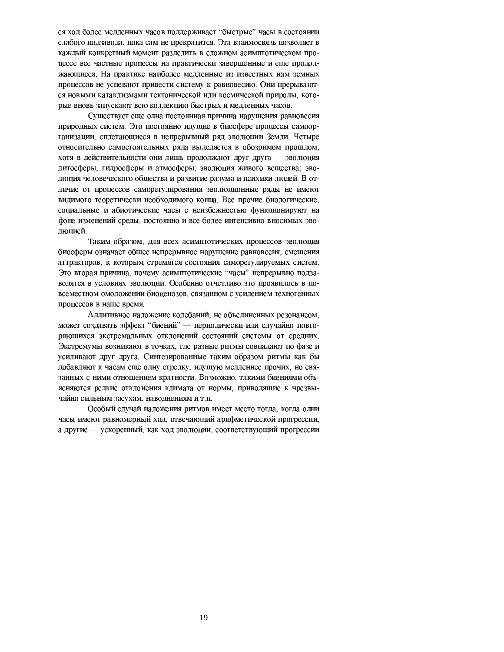ся ход более медленных часов поддерживает "быстрые" часы в состоянии слабого подзавода, пока сам не прекратится. Эта взаимосвязь позволяет в каждый конкретный момент разделить в сложном асимптотическом процессе все частные процессы на практически завершенные и еще продолжающиеся. На практике наиболее медленные из известных нам земных процессов не успевают привести систему к равновесию. Они прерываются новыми катаклизмами тектонической или космической природы, которые вновь запускают всю коллекцию быстрых и медленных часов.

Существует еще одна постоянная причина нарушения равновесия природных систем. Это постоянно идущие в биосфере процессы самоорганизации, сплетающиеся в непрерывный ряд эволюции Земли. Четыре относительно самостоятельных ряда выделяется в обозримом прошлом, хотя в действительности они лишь продолжают друг друга - эволюция литосферы, гидросферы и атмосферы; эволюция живого вещества; эволюция человеческого общества и развитие разума и психики людей. В отличие от процессов саморегулирования эволюционные ряды не имеют видимого теоретически необходимого конца. Все прочие биологические, социальные и абиотические часы с неизбежностью функционируют на фоне изменений среды, постоянно и все более интенсивно вносимых эволюцией.

Таким образом, для всех асимптотических процессов эволюция биосферы означает общее непрерывное нарушение равновесия, смещения аттракторов, к которым стремятся состояния саморегулируемых систем. Это вторая причина, почему асимптотические "часы" непрерывно подзаводятся в условиях эволюции. Особенно отчетливо это проявилось в повсеместном омоложении биоценозов, связанном с усилением техногенных процессов в наше время.

Аддитивное наложение колебаний, не объединенных резонансом, может создавать эффект "биений" - периодически или случайно повторяющихся экстремальных отклонений состояний системы от средних. Экстремумы возникают в точках, где разные ритмы совпадают по фазе и усиливают друг друга. Синтезированные таким образом ритмы как бы добавляют к часам еще одну стрелку, идущую медленнее прочих, но связанных с ними отношением кратности. Возможно, такими биениями объясняются редкие отклонения климата от нормы, приводящие к чрезвычайно сильным засухам, наводнениям и т.п.

Особый случай наложения ритмов имеет место тогда, когда одни часы имеют равномерный ход, отвечающий арифметической прогрессии, а другие - ускоренный, как ход эволюции, соответствующий прогрессии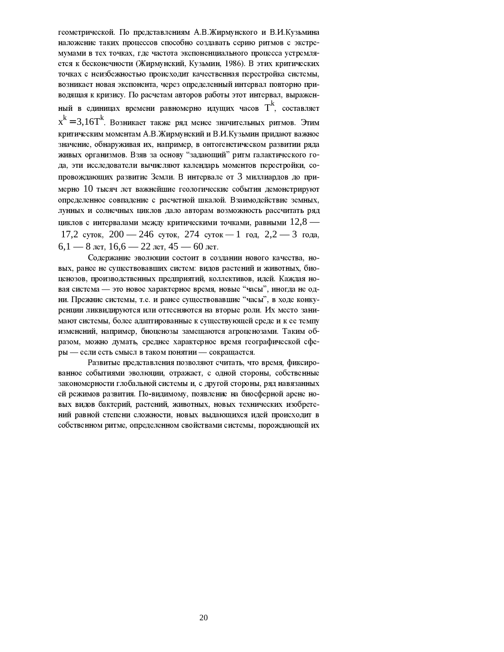геометрической. По представлениям А.В. Жирмунского и В.И. Кузьмина наложение таких процессов способно создавать серию ритмов с экстремумами в тех точках, где частота экспоненциального процесса устремляется к бесконечности (Жирмунский, Кузьмин, 1986). В этих критических точках с неизбежностью происходит качественная перестройка системы. возникает новая экспонента, через определенный интервал повторно приводящая к кризису. По расчетам авторов работы этот интервал, выраженный в единицах времени равномерно идущих часов  $T^k$ . составляет  $x^{k} = 3.16T^{k}$ . Возникает также ряд менее значительных ритмов. Этим критическим моментам А.В. Жирмунский и В.И. Кузьмин придают важное значение, обнаруживая их, например, в онтогенетическом развитии ряда живых организмов. Взяв за основу "задающий" ритм галактического года, эти исследователи вычисляют календарь моментов перестройки, сопровождающих развитие Земли. В интервале от 3 миллиардов до примерно 10 тысяч лет важнейшие геологические события демонстрируют определенное совпадение с расчетной шкалой. Взаимодействие земных, лунных и солнечных циклов дало авторам возможность рассчитать ряд циклов с интервалами между критическими точками, равными  $12,8$  — 17,2 суток, 200 — 246 суток, 274 суток — 1 год, 2,2 — 3 года,  $6.1 - 8$  лет,  $16.6 - 22$  лет,  $45 - 60$  лет.

Содержание эволюции состоит в создании нового качества, новых, ранее не существовавших систем: видов растений и животных, биоценозов, производственных предприятий, коллективов, идей. Каждая новая система - это новое характерное время, новые "часы", иногда не одни. Прежние системы, т.е. и ранее существовавшие "часы", в ходе конкуренции ликвидируются или оттесняются на вторые роли. Их место занимают системы, более адаптированные к существующей среде и к ее темпу изменений, например, биоценозы замещаются агроценозами. Таким образом, можно думать, среднее характерное время географической сферы - если есть смысл в таком понятии - сокращается.

Развитые представления позволяют считать, что время, фиксированное событиями эволюции, отражает, с одной стороны, собственные закономерности глобальной системы и, с другой стороны, ряд навязанных ей режимов развития. По-видимому, появление на биосферной арене новых видов бактерий, растений, животных, новых технических изобретений равной степени сложности, новых выдающихся идей происходит в собственном ритме, определенном свойствами системы, порождающей их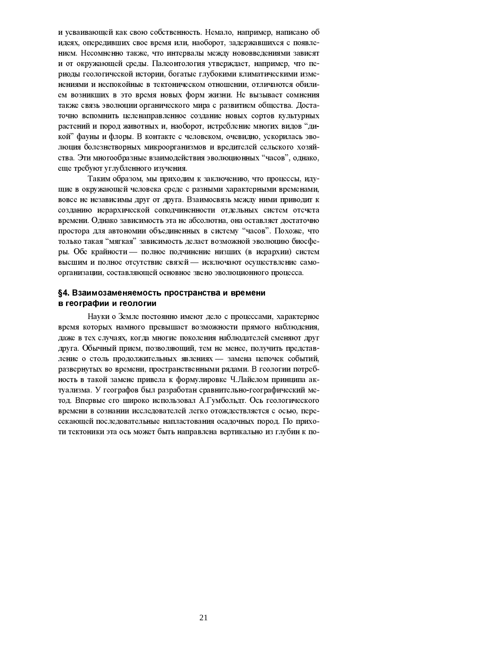и усваивающей как свою собственность. Немало, например, написано об идеях, опередивших свое время или, наоборот, задержавшихся с появлением. Несомненно также, что интервалы между нововведениями зависят и от окружающей среды. Палеонтология утверждает, например, что периоды геологической истории, богатые глубокими климатическими изменениями и неспокойные в тектоническом отношении, отличаются обилием возникших в это время новых форм жизни. Не вызывает сомнения также связь эволюции органического мира с развитием общества. Достаточно вспомнить целенаправленное создание новых сортов культурных растений и пород животных и, наоборот, истребление многих видов "дикой" фауны и флоры. В контакте с человеком, очевидно, ускорилась эволюция болезнетворных микроорганизмов и вредителей сельского хозяйства. Эти многообразные взаимодействия эволюционных "часов", однако, еще требуют углубленного изучения.

Таким образом, мы приходим к заключению, что процессы, идущие в окружающей человека среде с разными характерными временами. вовсе не независимы друг от друга. Взаимосвязь между ними приводит к созданию иерархической соподчиненности отдельных систем отсчета времени. Однако зависимость эта не абсолютна, она оставляет достаточно простора для автономии объединенных в систему "часов". Похоже, что только такая "мягкая" зависимость делает возможной эволюцию биосферы. Обе крайности — полное подчинение низших (в иерархии) систем высшим и полное отсутствие связей - исключают осуществление самоорганизации, составляющей основное звено эволюционного процесса.

# §4. Взаимозаменяемость пространства и времени в географии и геологии

Науки о Земле постоянно имеют дело с процессами, характерное время которых намного превышает возможности прямого наблюдения, даже в тех случаях, когда многие поколения наблюдателей сменяют друг друга. Обычный прием, позволяющий, тем не менее, получить представление о столь продолжительных явлениях - замена цепочек событий. развернутых во времени, пространственными рядами. В геологии потребность в такой замене привела к формулировке Ч. Лайелом принципа актуализма. У географов был разработан сравнительно-географический метод. Впервые его широко использовал А.Гумбольдт. Ось геологического времени в сознании исследователей легко отождествляется с осью, пересекающей последовательные напластования осадочных пород. По прихоти тектоники эта ось может быть направлена вертикально из глубин к по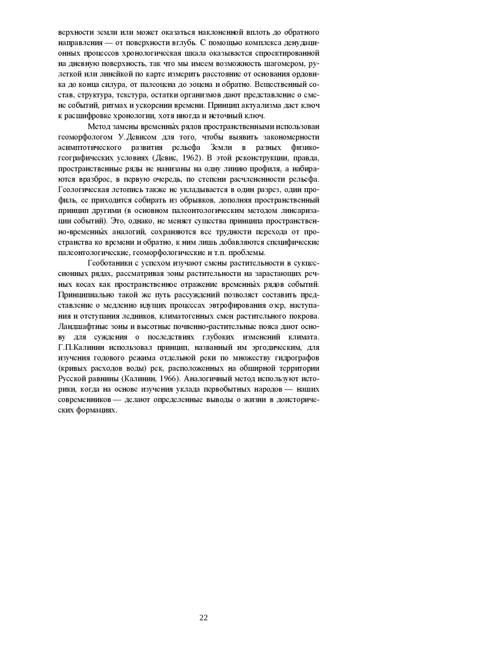верхности земли или может оказаться наклоненной вплоть до обратного направления - от поверхности вглубь. С помощью комплекса денудационных процессов хронологическая шкала оказывается спроектированной на дневную поверхность, так что мы имеем возможность шагомером, рулеткой или линейкой по карте измерить расстояние от основания ордовика до конца силура, от палеоцена до эоцена и обратно. Вещественный состав, структура, текстура, остатки организмов дают представление о смене событий, ритмах и ускорении времени. Принцип актуализма дает ключ к расшифровке хронологии, хотя иногда и неточный ключ.

Метод замены временных рядов пространственными использован геоморфологом У. Девисом для того, чтобы выявить закономерности асимптотического развития рельефа Земли в разных физикогеографических условиях (Девис, 1962). В этой реконструкции, правда, пространственные ряды не нанизаны на одну линию профиля, а набираются вразброс, в первую очередь, по степени расчлененности рельефа. Геологическая летопись также не укладывается в один разрез, один профиль, ее приходится собирать из обрывков, дополняя пространственный принцип другими (в основном палеонтологическим методом линеаризации событий). Это, однако, не меняет существа принципа пространственно-временных аналогий, сохраняются все трудности перехода от пространства ко времени и обратно, к ним лишь добавляются специфические палеонтологические, геоморфологические и т.п. проблемы.

Геоботаники с успехом изучают смены растительности в сукцессионных рядах, рассматривая зоны растительности на зарастающих речных косах как пространственное отражение временных рядов событий. Принципиально такой же путь рассуждений позволяет составить представление о медленно идущих процессах эвтрофирования озер, наступания и отступания ледников, климатогенных смен растительного покрова. Ландшафтные зоны и высотные почвенно-растительные пояса дают основу для суждения о последствиях глубоких изменений климата. Г.П.Калинин использовал принцип, названный им эргодическим, для изучения годового режима отдельной реки по множеству гидрографов (кривых расходов воды) рек, расположенных на обширной территории Русской равнины (Калинин, 1966). Аналогичный метод используют историки, когда на основе изучения уклада первобытных народов - наших современников - делают определенные выводы о жизни в доисторических формациях.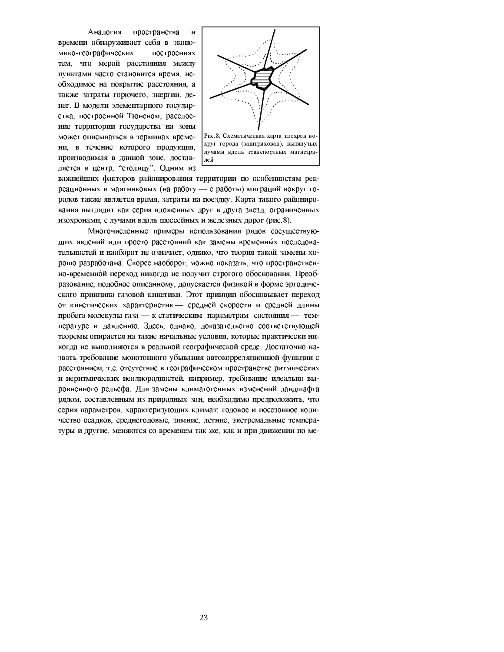Аналогия пространства И времени обнаруживает себя в экономико-географических построениях тем, что мерой расстояния между пунктами часто становится время, необходимое на покрытие расстояния, а также затраты горючего, энергии, денег. В модели элементарного государства, построенной Тюненом, расслоение территории государства на зоны может описываться в терминах времени, в течение которого продукция. производимая в данной зоне, доставляется в центр, "столицу". Одним из



круг города (заштрихован), вытянутых лучами вдоль транспортных магистралей

важнейших факторов районирования территории по особенностям рекреационных и маятниковых (на работу - с работы) миграций вокруг городов также является время, затраты на поездку. Карта такого районирования выглядит как серия вложенных друг в друга звезд, ограниченных изохронами, с лучами вдоль шоссейных и железных дорог (рис.8).

Многочисленные примеры использования рядов сосуществующих явлений или просто расстояний как замены временных последовательностей и наоборот не означает, однако, что теория такой замены хорошо разработана. Скорее наоборот, можно показать, что пространственно-временной переход никогда не получит строгого обоснования. Преобразование, подобное описанному, допускается физикой в форме эргодического принципа газовой кинетики. Этот принцип обосновывает переход от кинетических характеристик - средней скорости и средней длины пробега молекулы газа - к статическим параметрам состояния - температуре и давлению. Здесь, однако, доказательство соответствующей теоремы опирается на такие начальные условия, которые практически никогда не выполняются в реальной географической среде. Достаточно назвать требование монотонного убывания автокорреляционной функции с расстоянием, т.е. отсутствие в географическом пространстве ритмических и неритмических неоднородностей, например, требование идеально выровненного рельефа. Для замены климатогенных изменений ландшафта рядом, составленным из природных зон, необходимо предположить, что серия параметров, характеризующих климат: годовое и посезонное количество осадков, среднегодовые, зимние, летние, экстремальные температуры и другие, меняются со временем так же, как и при движении по ме-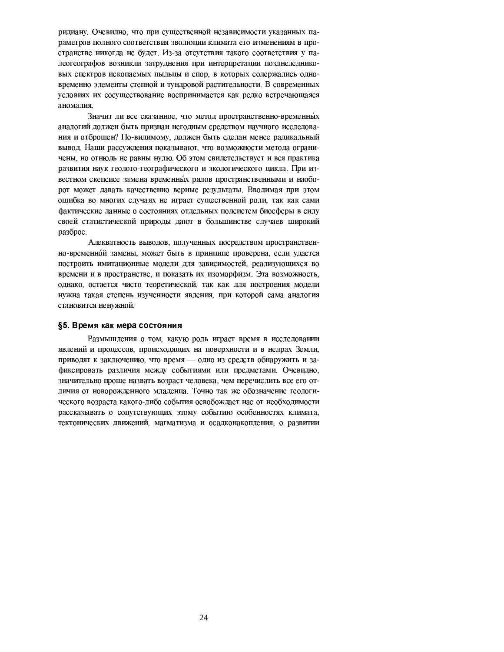ридиану. Очевидно, что при существенной независимости указанных параметров полного соответствия эволюции климата его изменениям в пространстве никогда не будет. Из-за отсутствия такого соответствия у палеогеографов возникли затруднения при интерпретации позднеледниковых спектров ископаемых пыльцы и спор, в которых содержались одновременно элементы степной и тундровой растительности. В современных условиях их сосуществование воспринимается как редко встречающаяся аномалия.

Значит ли все сказанное, что метод пространственно-временных аналогий должен быть признан негодным средством научного исследования и отброшен? По-видимому, должен быть сделан менее радикальный вывод. Наши рассуждения показывают, что возможности метода ограничены, но отнюдь не равны нулю. Об этом свидетельствует и вся практика развития наук геолого-географического и экологического цикла. При известном скепсисе замена временных рядов пространственными и наоборот может давать качественно верные результаты. Вводимая при этом ошибка во многих случаях не играет существенной роли, так как сами фактические данные о состояниях отдельных подсистем биосферы в силу своей статистической природы дают в большинстве случаев широкий разброс.

Адекватность выводов, полученных посредством пространственно-временной замены, может быть в принципе проверена, если удастся построить имитационные модели для зависимостей, реализующихся во времени и в пространстве, и показать их изоморфизм. Эта возможность, однако, остается чисто теоретической, так как для построения модели нужна такая степень изученности явления, при которой сама аналогия становится ненужной.

## §5. Время как мера состояния

Размышления о том, какую роль играет время в исследовании явлений и процессов, происходящих на поверхности и в недрах Земли, приводят к заключению, что время - одно из средств обнаружить и зафиксировать различия между событиями или предметами. Очевидно, значительно проще назвать возраст человека, чем перечислить все его отличия от новорожденного младенца. Точно так же обозначение геологического возраста какого-либо события освобождает нас от необходимости рассказывать о сопутствующих этому событию особенностях климата, тектонических движений, магматизма и осадконакопления, о развитии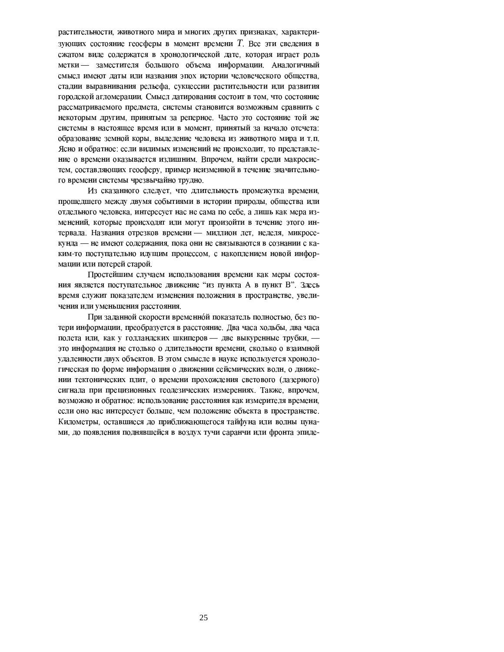растительности, животного мира и многих других признаках, характеризующих состояние геосферы в момент времени T. Все эти сведения в сжатом виде содержатся в хронологической дате, которая играет роль метки — заместителя большого объема информации. Аналогичный смысл имеют даты или названия эпох истории человеческого общества, стадии выравнивания рельефа, сукцессии растительности или развития городской агломерации. Смысл датирования состоит в том, что состояние рассматриваемого предмета, системы становится возможным сравнить с некоторым другим, принятым за реперное. Часто это состояние той же системы в настоящее время или в момент, принятый за начало отсчета: образование земной коры, выделение человека из животного мира и т.п. Ясно и обратное: если видимых изменений не происходит, то представление о времени оказывается излишним. Впрочем, найти среди макросистем, составляющих геосферу, пример неизменной в течение значительного времени системы чрезвычайно трудно.

Из сказанного следует, что длительность промежутка времени, прошедшего между двумя событиями в истории природы, общества или отдельного человека, интересует нас не сама по себе, а лишь как мера изменений, которые происходят или могут произойти в течение этого интервала. Названия отрезков времени - миллион лет, неделя, микросекунда - не имеют содержания, пока они не связываются в сознании с каким-то поступательно идущим процессом, с накоплением новой информации или потерей старой.

Простейшим случаем использования времени как меры состояния является поступательное движение "из пункта А в пункт В". Здесь время служит показателем изменения положения в пространстве, увеличения или уменьшения расстояния.

При заданной скорости временной показатель полностью, без потери информации, преобразуется в расстояние. Два часа ходьбы, два часа полета или, как у голландских шкиперов - две выкуренные трубки, это информация не столько о длительности времени, сколько о взаимной удаленности двух объектов. В этом смысле в науке используется хронологическая по форме информация о движении сейсмических волн, о движении тектонических плит, о времени прохождения светового (лазерного) сигнала при прецизионных геодезических измерениях. Также, впрочем, возможно и обратное: использование расстояния как измерителя времени, если оно нас интересует больше, чем положение объекта в пространстве. Километры, оставшиеся до приближающегося тайфуна или волны цунами, до появления поднявшейся в воздух тучи саранчи или фронта эпиде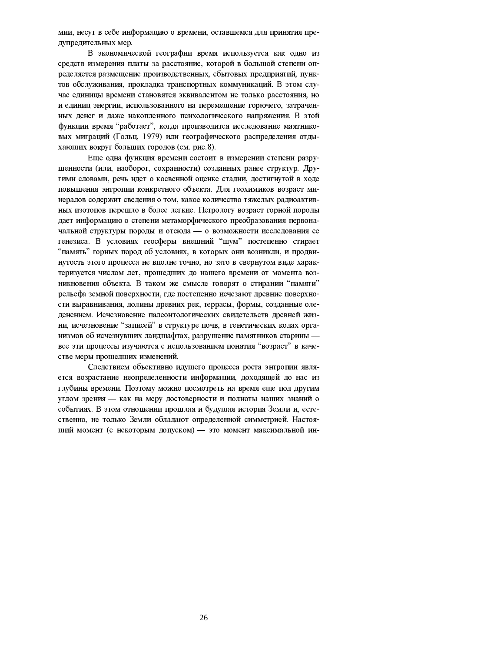мии, несут в себе информацию о времени, оставшемся для принятия предупредительных мер.

В экономической географии время используется как одно из средств измерения платы за расстояние, которой в большой степени определяется размещение производственных, сбытовых предприятий, пунктов обслуживания, прокладка транспортных коммуникаций. В этом случае единицы времени становятся эквивалентом не только расстояния, но и единиц энергии, использованного на перемещение горючего, затраченных денег и даже накопленного психологического напряжения. В этой функции время "работает", когда производится исследование маятниковых миграций (Гольц, 1979) или географического распределения отдыхающих вокруг больших городов (см. рис.8).

Еще одна функция времени состоит в измерении степени разрушенности (или, наоборот, сохранности) созданных ранее структур. Другими словами, речь идет о косвенной оценке стадии, достигнутой в ходе повышения энтропии конкретного объекта. Для геохимиков возраст минералов содержит сведения о том, какое количество тяжелых радиоактивных изотопов перещло в более легкие. Петрологу возраст горной породы дает информацию о степени метаморфического преобразования первоначальной структуры породы и отсюда - о возможности исследования ее генезиса. В условиях геосферы внешний "шум" постепенно стирает "память" горных пород об условиях, в которых они возникли, и продвинутость этого процесса не вполне точно, но зато в свернутом виде характеризуется числом лет, прошедших до нашего времени от момента возникновения объекта. В таком же смысле говорят о стирании "памяти" рельефа земной поверхности, где постепенно исчезают древние поверхности выравнивания, долины древних рек, террасы, формы, созданные оледенением. Исчезновение палеонтологических свидетельств древней жизни, исчезновение "записей" в структуре почв, в генетических кодах организмов об исчезнувших ландшафтах, разрушение памятников старины все эти процессы изучаются с использованием понятия "возраст" в качестве меры прошедших изменений.

Следствием объективно идущего процесса роста энтропии является возрастание неопределенности информации, доходящей до нас из глубины времени. Поэтому можно посмотреть на время еще под другим углом зрения - как на меру достоверности и полноты наших знаний о событиях. В этом отношении прошлая и будущая история Земли и, естественно, не только Земли обладают определенной симметрией. Настоящий момент (с некоторым допуском) - это момент максимальной ин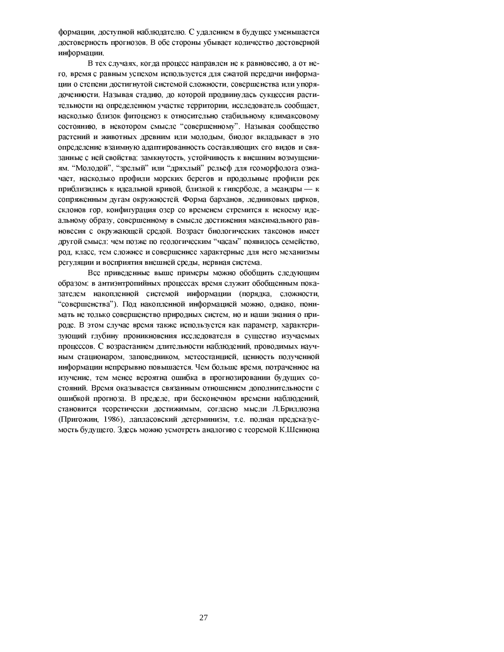формации, доступной наблюдателю. С удалением в будущее уменьшается достоверность прогнозов. В обе стороны убывает количество достоверной информации.

В тех случаях, когда процесс направлен не к равновесию, а от него, время с равным успехом используется для сжатой передачи информации о степени достигнутой системой сложности, совершенства или упорядоченности. Называя стадию, до которой продвинулась сукцессия растительности на определенном участке территории, исследователь сообщает, насколько близок фитоценоз к относительно стабильному климаксовому состоянию, в некотором смысле "совершенному". Называя сообщество растений и животных древним или молодым, биолог вкладывает в это определение взаимную адаптированность составляющих его видов и связанные с ней свойства: замкнутость, устойчивость к внешним возмущениям. "Молодой", "зрелый" или "дряхлый" рельеф для геоморфолога означает, насколько профили морских берегов и продольные профили рек приблизились к идеальной кривой, близкой к гиперболе, а меандры — к сопряженным дугам окружностей. Форма барханов, ледниковых цирков, склонов гор, конфигурация озер со временем стремится к некоему идеальному образу, совершенному в смысле достижения максимального равновесия с окружающей средой. Возраст биологических таксонов имеет другой смысл: чем позже по геологическим "часам" появилось семейство, род, класс, тем сложнее и совершеннее характерные для него механизмы регуляции и восприятия внешней среды, нервная система.

Все приведенные выше примеры можно обобщить следующим образом: в антиэнтропийных процессах время служит обобщенным показателем накопленной системой информации (порядка, сложности, "совершенства"). Под накопленной информацией можно, однако, понимать не только совершенство природных систем, но и наши знания о природе. В этом случае время также используется как параметр, характеризующий глубину проникновения исследователя в существо изучаемых процессов. С возрастанием длительности наблюдений, проводимых научным стационаром, заповедником, метеостанцией, ценность полученной информации непрерывно повышается. Чем больше время, потраченное на изучение, тем менее вероятна ошибка в прогнозировании будущих состояний. Время оказывается связанным отношением дополнительности с ошибкой прогноза. В пределе, при бесконечном времени наблюдений, становится теоретически достижимым, согласно мысли Л.Бриллюэна (Пригожин. 1986), лапласовский детерминизм, т.е. полная предсказуемость будущего. Здесь можно усмотреть аналогию с теоремой К.Шеннона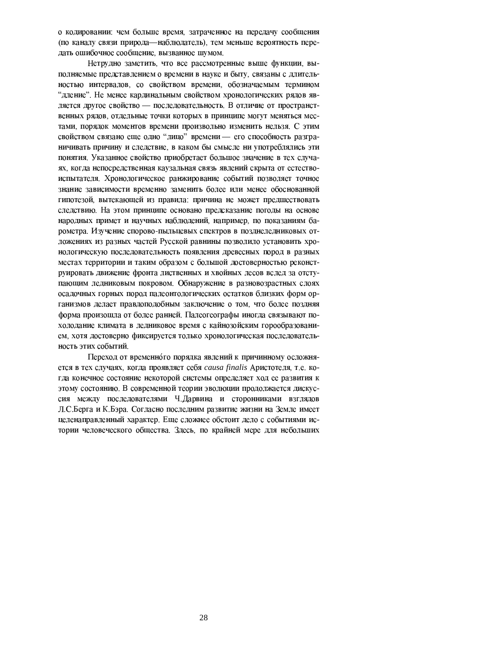о кодировании: чем больше время, затраченное на передачу сообщения (по каналу связи природа-наблюдатель), тем меньше вероятность передать ошибочное сообщение, вызванное шумом.

Нетрудно заметить, что все рассмотренные выше функции, выполняемые представлением о времени в науке и быту, связаны с длительностью интервалов, со свойством времени, обозначаемым термином "дление". Не менее кардинальным свойством хронологических рядов является другое свойство - последовательность. В отличие от пространственных рядов, отдельные точки которых в принципе могут меняться местами, порядок моментов времени произвольно изменить нельзя. С этим свойством связано еще одно "лицо" времени — его способность разграничивать причину и следствие, в каком бы смысле ни употреблялись эти понятия. Указанное свойство приобретает большое значение в тех случаях, когда непосредственная каузальная связь явлений скрыта от естествоиспытателя. Хронологическое ранжирование событий позволяет точное знание зависимости временно заменить более или менее обоснованной гипотезой, вытекающей из правила: причина не может предшествовать следствию. На этом принципе основано предсказание погоды на основе народных примет и научных наблюдений, например, по показаниям барометра. Изучение спорово-пыльцевых спектров в позднеледниковых отложениях из разных частей Русской равнины позволило установить хронологическую последовательность появления древесных пород в разных местах территории и таким образом с большой достоверностью реконструировать движение фронта лиственных и хвойных лесов вслед за отступающим ледниковым покровом. Обнаружение в разновозрастных слоях осадочных горных пород палеонтологических остатков близких форм организмов делает правдоподобным заключение о том, что более поздняя форма произошла от более ранней. Палеогеографы иногда связывают похолодание климата в ледниковое время с кайнозойским горообразованием, хотя достоверно фиксируется только хронологическая последовательность этих событий.

Переход от временного порядка явлений к причинному осложняется в тех случаях, когда проявляет себя causa finalis Аристотеля, т.е. когда конечное состояние некоторой системы определяет ход ее развития к этому состоянию. В современной теории эволюции продолжается дискуссия между последователями Ч. Дарвина и сторонниками взглядов Л.С.Берга и К.Бэра. Согласно последним развитие жизни на Земле имеет целенаправленный характер. Еще сложнее обстоит дело с событиями истории человеческого общества. Здесь, по крайней мере для небольших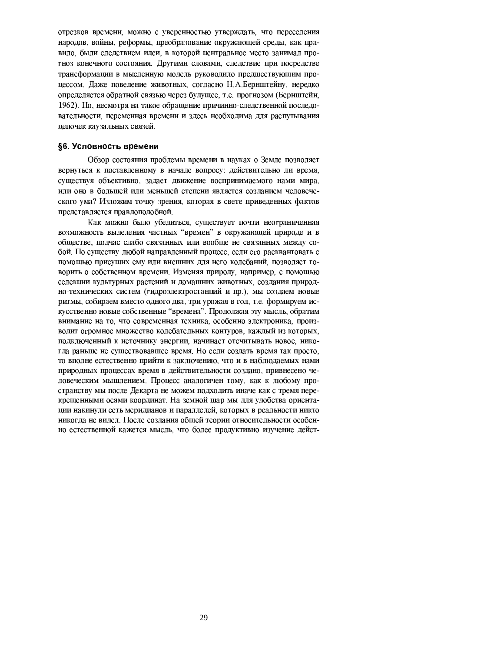отрезков времени, можно с уверенностью утверждать, что переселения народов, войны, реформы, преобразование окружающей среды, как правило, были следствием идеи, в которой центральное место занимал прогноз конечного состояния. Другими словами, следствие при посредстве трансформации в мысленную модель руководило предшествующим процессом. Даже поведение животных, согласно Н.А.Бернштейну, нередко определяется обратной связью через будущее, т.е. прогнозом (Бернштейн, 1962). Но, несмотря на такое обращение причинно-следственной последовательности, переменная времени и здесь необходима для распутывания цепочек каузальных связей.

## §6. Условность времени

Обзор состояния проблемы времени в науках о Земле позволяет вернуться к поставленному в начале вопросу: действительно ли время, существуя объективно, задает движение воспринимаемого нами мира, или оно в большей или меньшей степени является созданием человеческого ума? Изложим точку зрения, которая в свете приведенных фактов представляется правдоподобной.

Как можно было убедиться, существует почти неограниченная возможность выделения частных "времен" в окружающей природе и в обществе, подчас слабо связанных или вообще не связанных между собой. По существу любой направленный процесс, если его расквантовать с помощью присущих ему или внешних для него колебаний, позволяет говорить о собственном времени. Изменяя природу, например, с помощью селекции культурных растений и домашних животных, создания природно-технических систем (гидроэлектростанций и пр.), мы создаем новые ритмы, собираем вместо одного два, три урожая в год, т.е. формируем искусственно новые собственные "времена". Продолжая эту мысль, обратим внимание на то, что современная техника, особенно электроника, производит огромное множество колебательных контуров, каждый из которых, подключенный к источнику энергии, начинает отсчитывать новое, никогда раньше не существовавшее время. Но если создать время так просто, то вполне естественно прийти к заключению, что и в наблюдаемых нами природных процессах время в действительности создано, привнесено человеческим мышлением. Процесс аналогичен тому, как к любому пространству мы после Декарта не можем подходить иначе как с тремя перекрещенными осями координат. На земной шар мы для удобства ориентации накинули сеть меридианов и параллелей, которых в реальности никто никогда не видел. После создания общей теории относительности особенно естественной кажется мысль, что более продуктивно изучение дейст-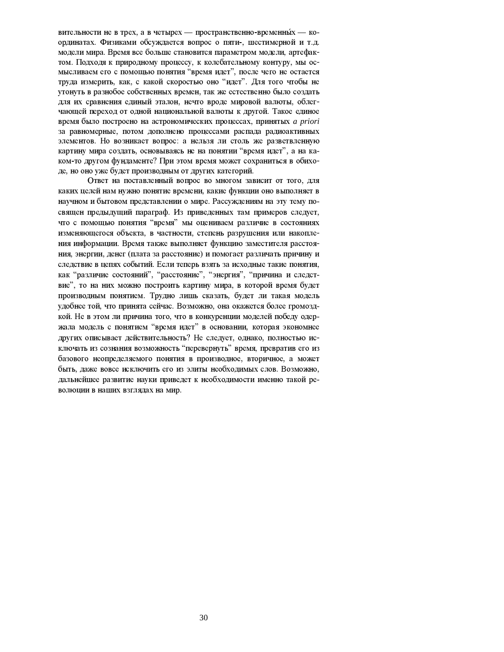вительности не в трех, а в четырех — пространственно-временных — координатах. Физиками обсуждается вопрос о пяти-, шестимерной и т.д. модели мира. Время все больше становится параметром модели, артефактом. Подходя к природному процессу, к колебательному контуру, мы осмысливаем его с помощью понятия "время идет", после чего не остается труда измерить, как, с какой скоростью оно "идет". Для того чтобы не утонуть в разнобое собственных времен, так же естественно было создать для их сравнения единый эталон, нечто вроде мировой валюты, облегчающей переход от одной национальной валюты к другой. Такое единое время было построено на астрономических процессах, принятых *a priori* за равномерные, потом дополнено процессами распада радиоактивных элементов. Но возникает вопрос: а нельзя ли столь же разветвленную картину мира создать, основываясь не на понятии "время идет", а на каком-то другом фундаменте? При этом время может сохраниться в обиходе, но оно уже будет производным от других категорий.

Ответ на поставленный вопрос во многом зависит от того, для каких целей нам нужно понятие времени, какие функции оно выполняет в научном и бытовом представлении о мире. Рассуждениям на эту тему посвящен предыдущий параграф. Из приведенных там примеров следует, что с помощью понятия "время" мы оцениваем различие в состояниях изменяющегося объекта, в частности, степень разрушения или накопления информации. Время также выполняет функцию заместителя расстояния, энергии, денег (плата за расстояние) и помогает различать причину и следствие в цепях событий. Если теперь взять за исходные такие понятия. как "различие состояний", "расстояние", "энергия", "причина и следствие", то на них можно построить картину мира, в которой время будет производным понятием. Трудно лишь сказать, будет ли такая модель удобнее той, что принята сейчас. Возможно, она окажется более громоздкой. Не в этом ли причина того, что в конкуренции моделей победу одержала модель с понятием "время идет" в основании, которая экономнее других описывает действительность? Не следует, однако, полностью исключать из сознания возможность "перевернуть" время, превратив его из базового неопределяемого понятия в производное, вторичное, а может быть, даже вовсе исключить его из элиты необходимых слов. Возможно, дальнейшее развитие науки приведет к необходимости именно такой революции в наших взглядах на мир.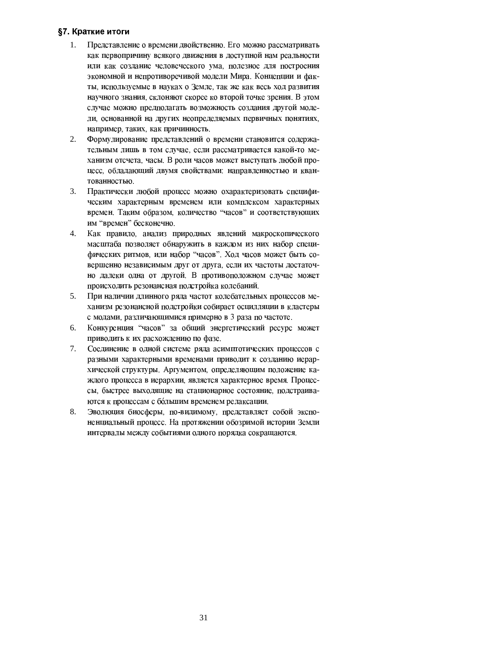# §7. Краткие итоги

- Представление о времени двойственно. Его можно рассматривать  $\mathbf{1}$ . как первопричину всякого движения в доступной нам реальности или как создание человеческого ума, полезное для построения экономной и непротиворечивой модели Мира. Концепции и факты, используемые в науках о Земле, так же как весь ход развития научного знания, склоняют скорее ко второй точке зрения. В этом случае можно предполагать возможность создания другой модели, основанной на других неопределяемых первичных понятиях, например, таких, как причинность.
- 2. Формулирование представлений о времени становится содержательным лишь в том случае, если рассматривается какой-то механизм отсчета, часы. В роли часов может выступать любой процесс, обладающий двумя свойствами: направленностью и квантованностью.
- 3. Практически любой процесс можно охарактеризовать специфическим характерным временем или комплексом характерных времен. Таким образом, количество "часов" и соответствующих им "времен" бесконечно.
- $\overline{4}$ . Как правило, анализ природных явлений макроскопического масштаба позволяет обнаружить в каждом из них набор специфических ритмов, или набор "часов". Ход часов может быть совершенно независимым друг от друга, если их частоты достаточно далеки одна от другой. В противоположном случае может происходить резонансная подстройка колебаний.
- 5. При наличии длинного ряда частот колебательных процессов механизм резонансной подстройки собирает осцилляции в кластеры с модами, различающимися примерно в 3 раза по частоте.
- 6. Конкуренция "часов" за общий энергетический ресурс может приводить к их расхождению по фазе.
- 7. Соединение в одной системе ряда асимптотических процессов с разными характерными временами приводит к созданию иерархической структуры. Аргументом, определяющим положение каждого процесса в иерархии, является характерное время. Процессы, быстрее выходящие на стационарное состояние, подстраиваются к процессам с большим временем релаксации.
- 8. Эволюция биосферы, по-видимому, представляет собой экспоненциальный процесс. На протяжении обозримой истории Земли интервалы между событиями одного порядка сокращаются.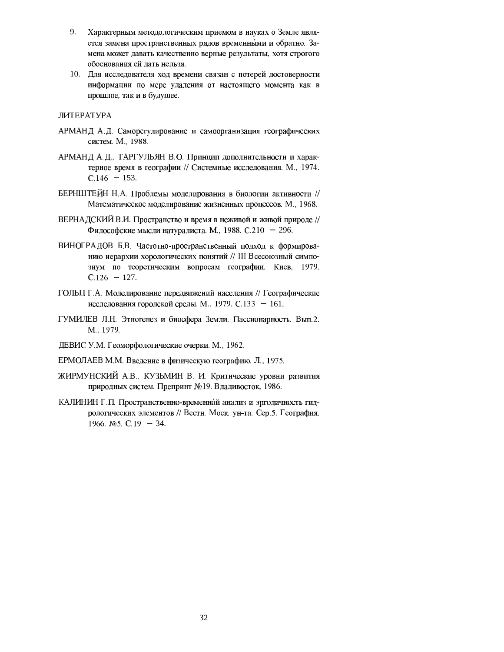- 9. Характерным методологическим приемом в науках о Земле является замена пространственных рядов временными и обратно. Замена может давать качественно верные результаты, хотя строгого обоснования ей дать нельзя.
- 10. Для исследователя ход времени связан с потерей достоверности информации по мере удаления от настоящего момента как в прошлое, так и в будущее.

# ЛИТЕРАТУРА

- АРМАНД А.Д. Саморегулирование и самоорганизация географических систем. М., 1988.
- АРМАНД А.Д., ТАРГУЛЬЯН В.О. Принцип дополнительности и характерное время в географии // Системные исследования. М., 1974. C 146€  $∈$  153.
- БЕРНШТЕЙН Н.А. Проблемы моделирования в биологии активности // Математическое моделирование жизненных процессов. М., 1968.
- ВЕРНАДСКИЙ В.И. Пространство и время в неживой и живой природе // Философские мысли натуралиста. М., 1988. С.210€ €296.
- ВИНОГРАДОВ Б.В. Частотно-пространственный подход к формированию иерархии хорологических понятий // III Всесоюзный симпозиум по теоретическим вопросам географии. Киев, 1979. C.126€ €127.
- ГОЛЬЦ Г.А. Моделирование передвижений населения // Географические исследования городской среды. М., 1979. С.133€ €161.
- ГУМИЛЕВ Л.Н. Этногенез и биосфера Земли. Пассионарность. Вып.2. M., 1979.
- ДЕВИС У.М. Геоморфологические очерки. М., 1962.
- ЕРМОЛАЕВ М.М. Введение в физическую географию. Л., 1975.
- ЖИРМУНСКИЙ А.В., КУЗЬМИН В. И. Критические уровни развития природных систем. Препринт №19. Владивосток, 1986.
- КАЛИНИН Г.П. Пространственно-временной анализ и эргодичность гидрологических элементов // Вестн. Моск. ун-та. Сер. 5. География. 1966 №5 С.19€ €34.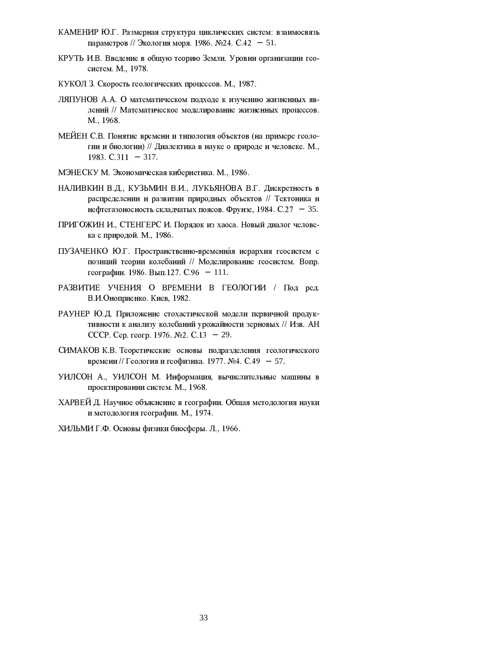- КАМЕНИР Ю.Г. Размерная структура циклических систем: взаимосвязь параметров // Экология моря, 1986. №24. С.42€-€51.
- КРУТЬ И.В. Введение в общую теорию Земли. Уровни организации геосистем. М., 1978.
- КУКОЛ З. Скорость геологических процессов. М., 1987.
- ЛЯПУНОВ А.А. О математическом подходе к изучению жизненных явлений // Математическое моделирование жизненных процессов. M., 1968.
- МЕЙЕН С.В. Понятие времени и типология объектов (на примере геологии и биологии) // Диалектика в науке о природе и человеке. М., 1983 C 311€ € 317.
- МЭНЕСКУ М. Экономическая кибернетика. М., 1986.
- НАЛИВКИН В.Д., КУЗЬМИН В.И., ЛУКЬЯНОВА В.Г. Дискретность в распределении и развитии природных объектов // Тектоника и нефтегазоносность складчатых поясов. Фрунзе, 1984. С.27€-€35.
- ПРИГОЖИН И., СТЕНГЕРС И. Порядок из хаоса. Новый диалог человека с природой. М., 1986.
- ПУЗАЧЕНКО Ю.Г. Пространственно-временная иерархия геосистем с позиций теории колебаний // Моделирование геосистем. Вопр. географии. 1986. Вып. 127. С. 96€-€111.
- РАЗВИТИЕ УЧЕНИЯ О ВРЕМЕНИ В ГЕОЛОГИИ / Под ред. В.И.Оноприенко. Киев, 1982.
- РАУНЕР Ю.Д. Приложение стохастической модели первичной продуктивности к анализу колебаний урожайности зерновых // Изв. АН СССР. Сер. геогр. 1976. №2. С. 13€-€29.
- СИМАКОВ К.В. Теоретические основы подразделения геологического времени // Геология и геофизика. 1977. №4. С.49€-657.
- УИЛСОН А., УИЛСОН М. Информация, вычислительные машины в проектировании систем. М., 1968.
- ХАРВЕЙ Д. Научное объяснение в географии. Общая методология науки и методология географии. М., 1974.
- ХИЛЬМИ Г.Ф. Основы физики биосферы. Л., 1966.